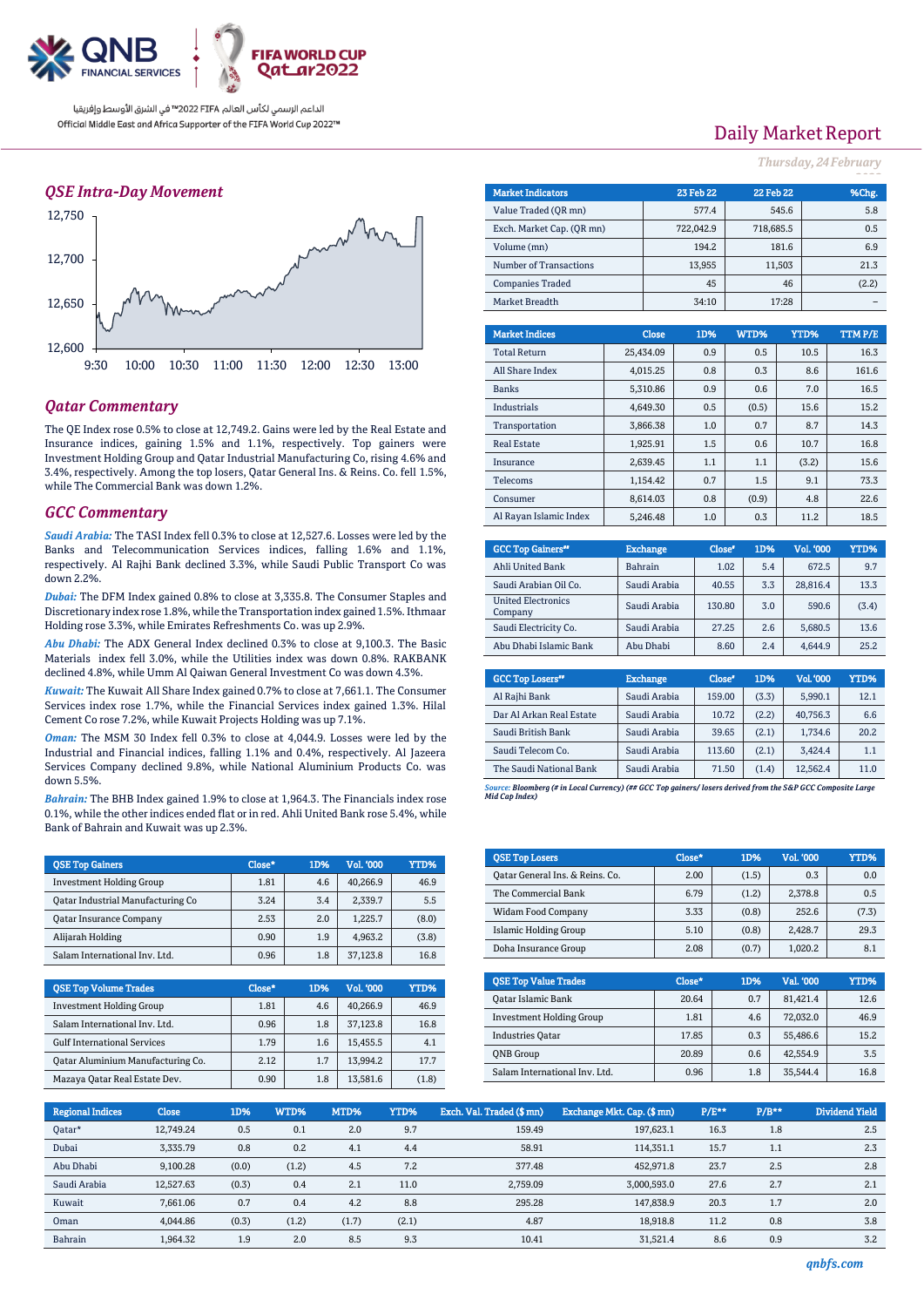

## *QSE Intra-Day Movement*



## *Qatar Commentary*

The QE Index rose 0.5% to close at 12,749.2. Gains were led by the Real Estate and Insurance indices, gaining 1.5% and 1.1%, respectively. Top gainers were Investment Holding Group and Qatar Industrial Manufacturing Co, rising 4.6% and 3.4%, respectively. Among the top losers, Qatar General Ins. & Reins. Co. fell 1.5%, while The Commercial Bank was down 1.2%.

### *GCC Commentary*

*Saudi Arabia:* The TASI Index fell 0.3% to close at 12,527.6. Losses were led by the Banks and Telecommunication Services indices, falling 1.6% and 1.1%, respectively. Al Rajhi Bank declined 3.3%, while Saudi Public Transport Co was down 2.2%.

*Dubai:* The DFM Index gained 0.8% to close at 3,335.8. The Consumer Staples and Discretionary index rose 1.8%, while the Transportation index gained 1.5%. Ithmaar Holding rose 3.3%, while Emirates Refreshments Co. was up 2.9%.

*Abu Dhabi:* The ADX General Index declined 0.3% to close at 9,100.3. The Basic Materials index fell 3.0%, while the Utilities index was down 0.8%. RAKBANK declined 4.8%, while Umm Al Qaiwan General Investment Co was down 4.3%.

*Kuwait:* The Kuwait All Share Index gained 0.7% to close at 7,661.1. The Consumer Services index rose 1.7%, while the Financial Services index gained 1.3%. Hilal Cement Co rose 7.2%, while Kuwait Projects Holding was up 7.1%.

*Oman:* The MSM 30 Index fell 0.3% to close at 4,044.9. Losses were led by the Industrial and Financial indices, falling 1.1% and 0.4%, respectively. Al Jazeera Services Company declined 9.8%, while National Aluminium Products Co. was down 5.5%.

*Bahrain:* The BHB Index gained 1.9% to close at 1,964.3. The Financials index rose 0.1%, while the other indices ended flat or in red. Ahli United Bank rose 5.4%, while Bank of Bahrain and Kuwait was up 2.3%.

| <b>QSE Top Gainers</b>                   | Close* | 1D% | <b>Vol. '000</b> | YTD%  |
|------------------------------------------|--------|-----|------------------|-------|
| <b>Investment Holding Group</b>          | 1.81   | 4.6 | 40.266.9         | 46.9  |
| <b>Qatar Industrial Manufacturing Co</b> | 3.24   | 3.4 | 2.339.7          | 5.5   |
| <b>Qatar Insurance Company</b>           | 2.53   | 2.0 | 1.225.7          | (8.0) |
| Alijarah Holding                         | 0.90   | 1.9 | 4.963.2          | (3.8) |
| Salam International Inv. Ltd.            | 0.96   | 1.8 | 37.123.8         | 16.8  |

| <b>OSE Top Volume Trades</b>       | Close* | 1D% | Vol. '000 | YTD%  |
|------------------------------------|--------|-----|-----------|-------|
| <b>Investment Holding Group</b>    | 1.81   | 4.6 | 40.266.9  | 46.9  |
| Salam International Inv. Ltd.      | 0.96   | 1.8 | 37,123.8  | 16.8  |
| <b>Gulf International Services</b> | 1.79   | 1.6 | 15.455.5  | 4.1   |
| Qatar Aluminium Manufacturing Co.  | 2.12   | 1.7 | 13.994.2  | 17.7  |
| Mazaya Qatar Real Estate Dev.      | 0.90   | 1.8 | 13,581.6  | (1.8) |

# Daily Market Report

*Thursday, 24February*

| <b>Market Indicators</b>  |  |           | <b>23 Feb 22</b> | <b>22 Feb 22</b> |        | %Chg.  |
|---------------------------|--|-----------|------------------|------------------|--------|--------|
| Value Traded (OR mn)      |  |           | 577.4            |                  | 545.6  | 5.8    |
| Exch. Market Cap. (QR mn) |  |           | 722,042.9        | 718,685.5        |        | 0.5    |
| Volume (mn)               |  |           | 194.2            |                  | 181.6  | 6.9    |
| Number of Transactions    |  |           | 13,955           |                  | 11,503 | 21.3   |
| <b>Companies Traded</b>   |  |           | 45               |                  | 46     | (2.2)  |
| Market Breadth            |  |           | 34:10            |                  | 17:28  |        |
|                           |  |           |                  |                  |        |        |
| <b>Market Indices</b>     |  | Close     | 1D%              | WTD%             | YTD%   | TTMP/E |
| <b>Total Return</b>       |  | 25.434.09 | 0.9              | 0.5              | 10.5   | 16.3   |
| All Share Index           |  | 4,015.25  | 0.8              | 0.3              | 8.6    | 161.6  |
| <b>Banks</b>              |  | 5.310.86  | 0.9              | 0.6              | 7.0    | 16.5   |
| Industrials               |  | 4.649.30  | 0.5              | (0.5)            | 15.6   | 15.2   |
| Transportation            |  | 3,866.38  | 1.0              | 0.7              | 8.7    | 14.3   |
| <b>Real Estate</b>        |  | 1,925.91  | 1.5              | 0.6              | 10.7   | 16.8   |
| Insurance                 |  | 2,639.45  | 1.1              | 1.1              | (3.2)  | 15.6   |
| Telecoms                  |  | 1.154.42  | 0.7              | 1.5              | 9.1    | 73.3   |
| Consumer                  |  | 8.614.03  | 0.8              | (0.9)            | 4.8    | 22.6   |
|                           |  |           |                  |                  |        |        |

| <b>GCC Top Gainers</b> "             | <b>Exchange</b> | Close* | 1D% | Vol. '000 | YTD%  |
|--------------------------------------|-----------------|--------|-----|-----------|-------|
| Ahli United Bank                     | <b>Bahrain</b>  | 1.02   | 5.4 | 672.5     | 9.7   |
| Saudi Arabian Oil Co.                | Saudi Arabia    | 40.55  | 3.3 | 28.816.4  | 13.3  |
| <b>United Electronics</b><br>Company | Saudi Arabia    | 130.80 | 3.0 | 590.6     | (3.4) |
| Saudi Electricity Co.                | Saudi Arabia    | 27.25  | 2.6 | 5,680.5   | 13.6  |
| Abu Dhabi Islamic Bank               | Abu Dhabi       | 8.60   | 2.4 | 4.644.9   | 25.2  |

Al Rayan Islamic Index | 5,246.48 | 1.0 | 0.3 | 11.2 | 18.5

| <b>GCC Top Losers</b> "  | <b>Exchange</b> | Close <sup>®</sup> | 1D%   | Vol. '000 | YTD% |
|--------------------------|-----------------|--------------------|-------|-----------|------|
| Al Rajhi Bank            | Saudi Arabia    | 159.00             | (3.3) | 5.990.1   | 12.1 |
| Dar Al Arkan Real Estate | Saudi Arabia    | 10.72              | (2.2) | 40.756.3  | 6.6  |
| Saudi British Bank       | Saudi Arabia    | 39.65              | (2.1) | 1.734.6   | 20.2 |
| Saudi Telecom Co.        | Saudi Arabia    | 113.60             | (2.1) | 3.424.4   | 1.1  |
| The Saudi National Bank  | Saudi Arabia    | 71.50              | (1.4) | 12.562.4  | 11.0 |

*Source: Bloomberg (# in Local Currency) (## GCC Top gainers/ losers derived from the S&P GCC Composite Large Mid Cap Index)*

| <b>OSE Top Losers</b>           | Close* | 1D%   | <b>Vol. '000</b> | <b>YTD%</b> |
|---------------------------------|--------|-------|------------------|-------------|
| Qatar General Ins. & Reins. Co. | 2.00   | (1.5) | 0.3              | 0.0         |
| The Commercial Bank             | 6.79   | (1.2) | 2.378.8          | 0.5         |
| <b>Widam Food Company</b>       | 3.33   | (0.8) | 252.6            | (7.3)       |
| Islamic Holding Group           | 5.10   | (0.8) | 2.428.7          | 29.3        |
| Doha Insurance Group            | 2.08   | (0.7) | 1.020.2          | 8.1         |

| <b>OSE Top Value Trades</b>     | Close* | 1D% | Val. '000 | YTD% |
|---------------------------------|--------|-----|-----------|------|
| Oatar Islamic Bank              | 20.64  | 0.7 | 81.421.4  | 12.6 |
| <b>Investment Holding Group</b> | 1.81   | 4.6 | 72.032.0  | 46.9 |
| <b>Industries Oatar</b>         | 17.85  | 0.3 | 55,486.6  | 15.2 |
| <b>ONB</b> Group                | 20.89  | 0.6 | 42.554.9  | 3.5  |
| Salam International Inv. Ltd.   | 0.96   | 1.8 | 35.544.4  | 16.8 |

| <b>Regional Indices</b> | <b>Close</b> | 1D%   | WTD%  | MTD%  | YTD%  | Exch. Val. Traded (\$ mn) | Exchange Mkt. Cap. (\$ mn) | P/E** | $P/B**$ | Dividend Yield |
|-------------------------|--------------|-------|-------|-------|-------|---------------------------|----------------------------|-------|---------|----------------|
| Oatar*                  | 12.749.24    | 0.5   | 0.1   | 2.0   | 9.7   | 159.49                    | 197.623.1                  | 16.3  | 1.8     | 2.5            |
| Dubai                   | 3,335.79     | 0.8   | 0.2   | 4.1   | 4.4   | 58.91                     | 114.351.1                  | 15.7  | 1.1     | 2.3            |
| Abu Dhabi               | 9.100.28     | (0.0) | (1.2) | 4.5   | 7.2   | 377.48                    | 452.971.8                  | 23.7  | 2.5     | 2.8            |
| Saudi Arabia            | 12.527.63    | (0.3) | 0.4   | 2.1   | 11.0  | 2.759.09                  | 3.000.593.0                | 27.6  | 2.7     | 2.1            |
| Kuwait                  | 7.661.06     | 0.7   | 0.4   | 4.2   | 8.8   | 295.28                    | 147,838.9                  | 20.3  | 1.7     | 2.0            |
| Oman                    | 4.044.86     | (0.3) | (1.2) | (1.7) | (2.1) | 4.87                      | 18.918.8                   | 11.2  | 0.8     | 3.8            |
| Bahrain                 | 1.964.32     | 1.9   | 2.0   | 8.5   | 9.3   | 10.41                     | 31.521.4                   | 8.6   | 0.9     | 3.2            |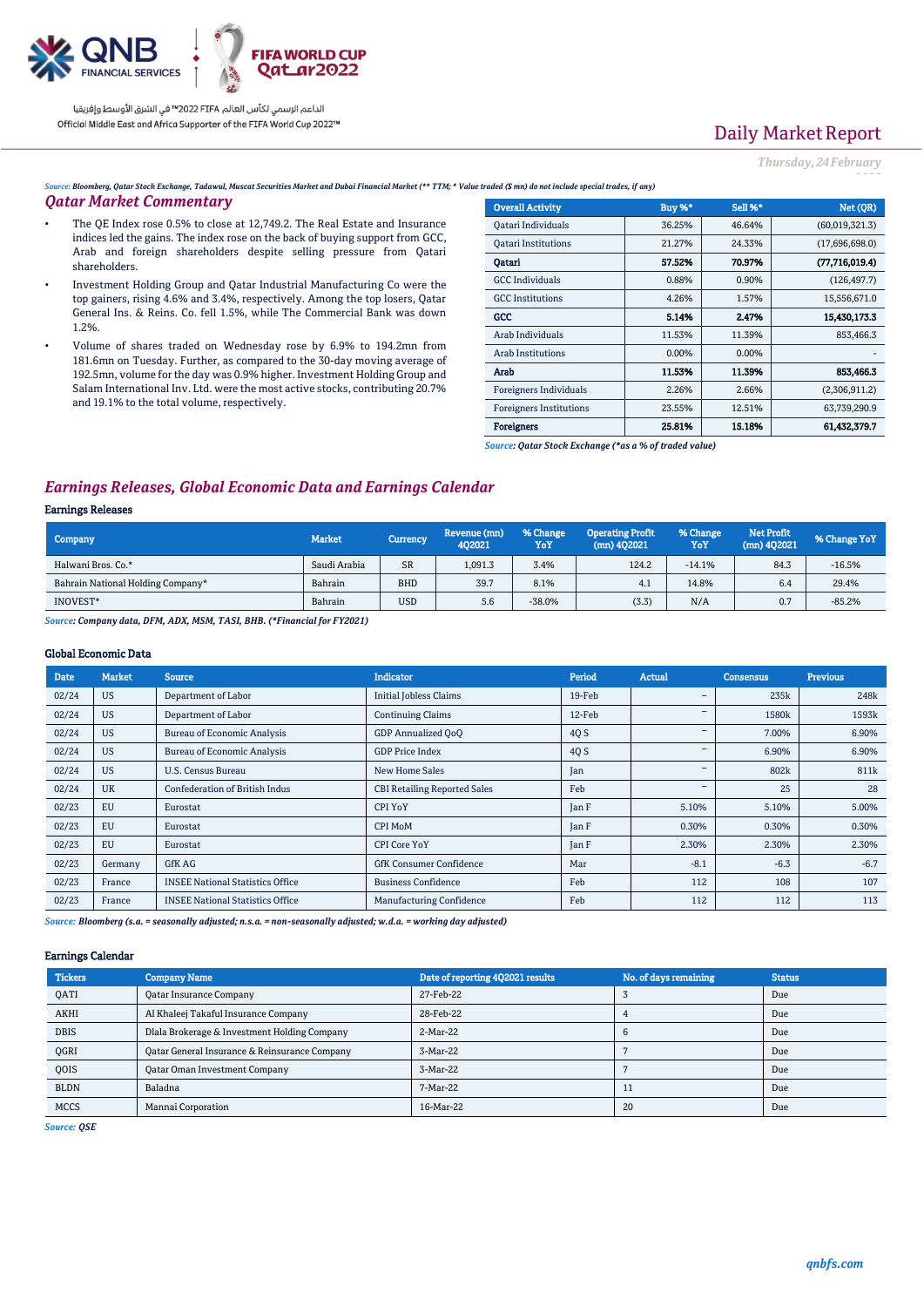

# Daily Market Report

*Thursday, 24February*

*2022*

*Source: Bloomberg, Qatar Stock Exchange, Tadawul, Muscat Securities Market and Dubai Financial Market (\*\* TTM; \* Value traded (\$ mn) do not include special trades, if any)*

### *Qatar Market Commentary*

- The QE Index rose 0.5% to close at 12,749.2. The Real Estate and Insurance indices led the gains. The index rose on the back of buying support from GCC, Arab and foreign shareholders despite selling pressure from Qatari shareholders.
- Investment Holding Group and Qatar Industrial Manufacturing Co were the top gainers, rising 4.6% and 3.4%, respectively. Among the top losers, Qatar General Ins. & Reins. Co. fell 1.5%, while The Commercial Bank was down 1.2%.
- Volume of shares traded on Wednesday rose by 6.9% to 194.2mn from 181.6mn on Tuesday. Further, as compared to the 30-day moving average of 192.5mn, volume for the day was 0.9% higher. Investment Holding Group and Salam International Inv. Ltd. were the most active stocks, contributing 20.7% and 19.1% to the total volume, respectively.

| <b>Overall Activity</b>        | <b>Buy %*</b> | Sell %* | Net (QR)         |
|--------------------------------|---------------|---------|------------------|
| Qatari Individuals             | 36.25%        | 46.64%  | (60,019,321.3)   |
| <b>Oatari Institutions</b>     | 21.27%        | 24.33%  | (17,696,698.0)   |
| Oatari                         | 57.52%        | 70.97%  | (77, 716, 019.4) |
| <b>GCC</b> Individuals         | 0.88%         | 0.90%   | (126, 497.7)     |
| <b>GCC</b> Institutions        | 4.26%         | 1.57%   | 15,556,671.0     |
| GCC                            | 5.14%         | 2.47%   | 15,430,173.3     |
| Arab Individuals               | 11.53%        | 11.39%  | 853,466.3        |
| Arab Institutions              | 0.00%         | 0.00%   |                  |
| Arab                           | 11.53%        | 11.39%  | 853,466.3        |
| Foreigners Individuals         | 2.26%         | 2.66%   | (2,306,911.2)    |
| <b>Foreigners Institutions</b> | 23.55%        | 12.51%  | 63,739,290.9     |
| <b>Foreigners</b>              | 25.81%        | 15.18%  | 61.432.379.7     |

*Source: Qatar Stock Exchange (\*as a % of traded value)*

## *Earnings Releases, Global Economic Data and Earnings Calendar*

#### Earnings Releases

| Company                           | <b>Market</b> | Currency   | Revenue (mn)<br>402021 | % Change<br>YoY | <b>Operating Profit</b><br>$(mn)$ 402021 | % Change<br>YoY | <b>Net Profit</b><br>$(mn)$ 402021 | % Change YoY |
|-----------------------------------|---------------|------------|------------------------|-----------------|------------------------------------------|-----------------|------------------------------------|--------------|
| Halwani Bros. Co.*                | Saudi Arabia  | <b>SR</b>  | 1,091.3                | 3.4%            | 124.2                                    | $-14.1%$        | 84.3                               | $-16.5%$     |
| Bahrain National Holding Company* | Bahrain       | <b>BHD</b> | 39.7                   | 8.1%            | 4.1                                      | 14.8%           | 6.4                                | 29.4%        |
| INOVEST*                          | Bahrain       | <b>USD</b> | 5.6                    | $-38.0%$        | (3.3)                                    | N/A             | 0.7                                | $-85.2%$     |

*Source: Company data, DFM, ADX, MSM, TASI, BHB. (\*Financial for FY2021)*

#### Global Economic Data

| Date  | <b>Market</b> | <b>Source</b>                           | <b>Indicator</b>                    | Period | <b>Actual</b>                | <b>Consensus</b> | <b>Previous</b> |
|-------|---------------|-----------------------------------------|-------------------------------------|--------|------------------------------|------------------|-----------------|
| 02/24 | <b>US</b>     | Department of Labor                     | <b>Initial Jobless Claims</b>       | 19-Feb | $\qquad \qquad \blacksquare$ | 235k             | 248k            |
| 02/24 | <b>US</b>     | Department of Labor                     | <b>Continuing Claims</b>            | 12-Feb | -                            | 1580k            | 1593k           |
| 02/24 | <b>US</b>     | <b>Bureau of Economic Analysis</b>      | <b>GDP</b> Annualized OoO           | 4Q S   |                              | 7.00%            | 6.90%           |
| 02/24 | <b>US</b>     | <b>Bureau of Economic Analysis</b>      | <b>GDP Price Index</b>              | 4Q S   | -                            | 6.90%            | 6.90%           |
| 02/24 | <b>US</b>     | U.S. Census Bureau                      | <b>New Home Sales</b>               | Jan    | -                            | 802k             | 811k            |
| 02/24 | <b>UK</b>     | <b>Confederation of British Indus</b>   | <b>CBI Retailing Reported Sales</b> | Feb    | -                            | 25               | 28              |
| 02/23 | <b>EU</b>     | Eurostat                                | CPI YoY                             | Jan F  | 5.10%                        | 5.10%            | 5.00%           |
| 02/23 | EU            | Eurostat                                | CPI MoM                             | Jan F  | 0.30%                        | 0.30%            | 0.30%           |
| 02/23 | EU            | Eurostat                                | <b>CPI Core YoY</b>                 | Jan F  | 2.30%                        | 2.30%            | 2.30%           |
| 02/23 | Germany       | <b>GfK AG</b>                           | <b>GfK Consumer Confidence</b>      | Mar    | $-8.1$                       | $-6.3$           | $-6.7$          |
| 02/23 | France        | <b>INSEE National Statistics Office</b> | <b>Business Confidence</b>          | Feb    | 112                          | 108              | 107             |
| 02/23 | France        | <b>INSEE National Statistics Office</b> | <b>Manufacturing Confidence</b>     | Feb    | 112                          | 112              | 113             |

*Source: Bloomberg (s.a. = seasonally adjusted; n.s.a. = non-seasonally adjusted; w.d.a. = working day adjusted)*

#### Earnings Calendar

| <b>Tickers</b> | <b>Company Name</b>                           | Date of reporting 4Q2021 results | No. of days remaining | <b>Status</b> |
|----------------|-----------------------------------------------|----------------------------------|-----------------------|---------------|
| <b>OATI</b>    | <b>Qatar Insurance Company</b>                | 27-Feb-22                        |                       | Due           |
| <b>AKHI</b>    | Al Khaleej Takaful Insurance Company          | 28-Feb-22                        |                       | Due           |
| <b>DBIS</b>    | Dlala Brokerage & Investment Holding Company  | 2-Mar-22                         |                       | Due           |
| OGRI           | Qatar General Insurance & Reinsurance Company | 3-Mar-22                         |                       | Due           |
| <b>OOIS</b>    | <b>Qatar Oman Investment Company</b>          | 3-Mar-22                         |                       | Due           |
| <b>BLDN</b>    | Baladna                                       | 7-Mar-22                         |                       | Due           |
| <b>MCCS</b>    | Mannai Corporation                            | 16-Mar-22                        | 20                    | Due           |

*Source: QSE*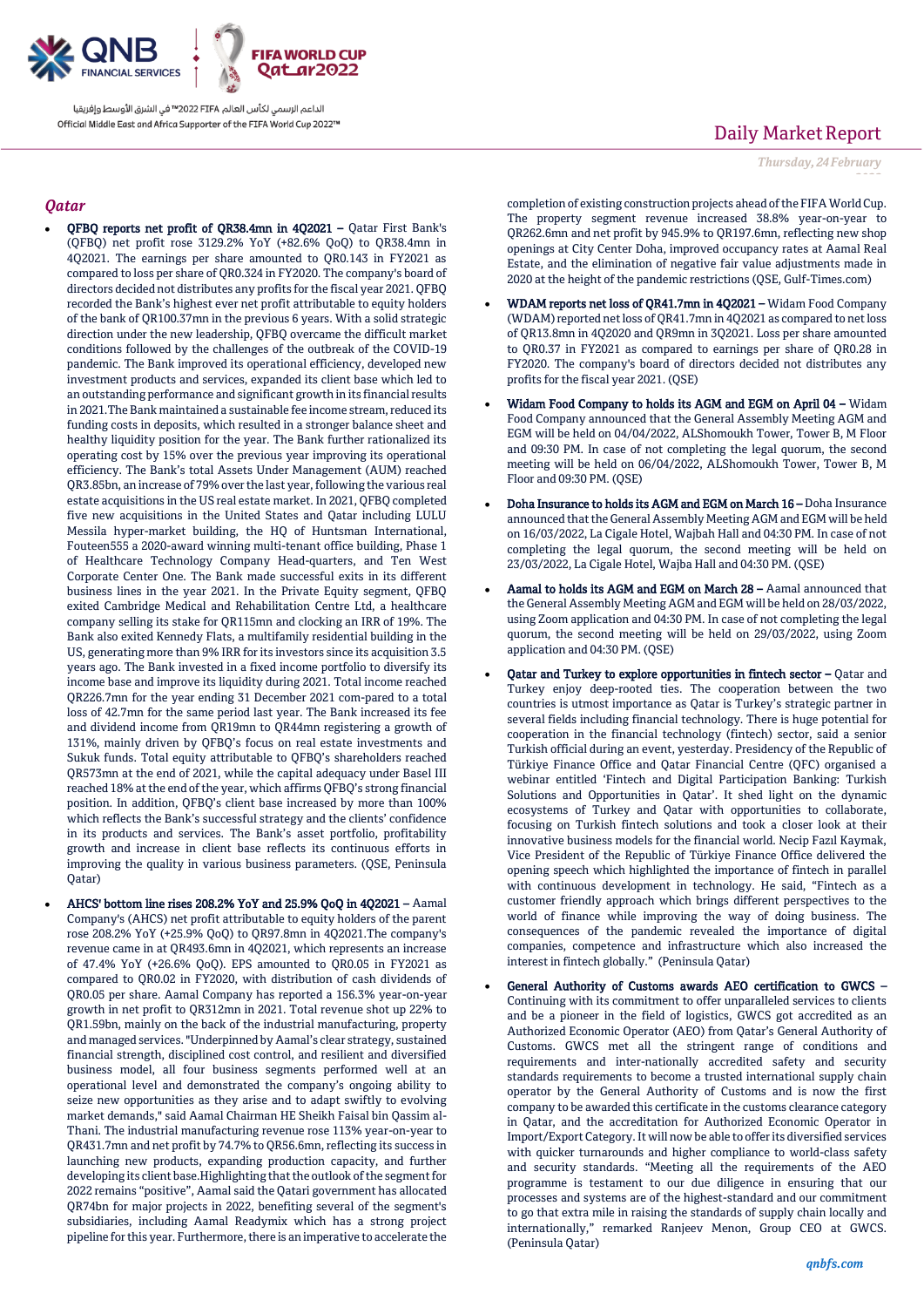

## *Qatar*

- QFBQ reports net profit of QR38.4mn in 4Q2021 Qatar First Bank's (QFBQ) net profit rose 3129.2% YoY (+82.6% QoQ) to QR38.4mn in 4Q2021. The earnings per share amounted to QR0.143 in FY2021 as compared to loss per share of QR0.324 in FY2020. The company's board of directors decided not distributes any profits for the fiscal year 2021. QFBQ recorded the Bank's highest ever net profit attributable to equity holders of the bank of QR100.37mn in the previous 6 years. With a solid strategic direction under the new leadership, QFBQ overcame the difficult market conditions followed by the challenges of the outbreak of the COVID-19 pandemic. The Bank improved its operational efficiency, developed new investment products and services, expanded its client base which led to an outstanding performance and significant growth in its financial results in 2021.The Bank maintained a sustainable fee income stream, reduced its funding costs in deposits, which resulted in a stronger balance sheet and healthy liquidity position for the year. The Bank further rationalized its operating cost by 15% over the previous year improving its operational efficiency. The Bank's total Assets Under Management (AUM) reached QR3.85bn, an increase of 79% over the last year, following the various real estate acquisitions in the US real estate market. In 2021, QFBQ completed five new acquisitions in the United States and Qatar including LULU Messila hyper-market building, the HQ of Huntsman International, Fouteen555 a 2020-award winning multi-tenant office building, Phase 1 of Healthcare Technology Company Head-quarters, and Ten West Corporate Center One. The Bank made successful exits in its different business lines in the year 2021. In the Private Equity segment, QFBQ exited Cambridge Medical and Rehabilitation Centre Ltd, a healthcare company selling its stake for QR115mn and clocking an IRR of 19%. The Bank also exited Kennedy Flats, a multifamily residential building in the US, generating more than 9% IRR for its investors since its acquisition 3.5 years ago. The Bank invested in a fixed income portfolio to diversify its income base and improve its liquidity during 2021. Total income reached QR226.7mn for the year ending 31 December 2021 com-pared to a total loss of 42.7mn for the same period last year. The Bank increased its fee and dividend income from QR19mn to QR44mn registering a growth of 131%, mainly driven by QFBQ's focus on real estate investments and Sukuk funds. Total equity attributable to QFBQ's shareholders reached QR573mn at the end of 2021, while the capital adequacy under Basel III reached 18% at the end of the year, which affirms QFBQ's strong financial position. In addition, QFBQ's client base increased by more than 100% which reflects the Bank's successful strategy and the clients' confidence in its products and services. The Bank's asset portfolio, profitability growth and increase in client base reflects its continuous efforts in improving the quality in various business parameters. (QSE, Peninsula Qatar)
- AHCS' bottom line rises 208.2% YoY and 25.9% QoQ in 4Q2021 Aamal Company's (AHCS) net profit attributable to equity holders of the parent rose 208.2% YoY (+25.9% QoQ) to QR97.8mn in 4Q2021.The company's revenue came in at QR493.6mn in 4Q2021, which represents an increase of 47.4% YoY (+26.6% QoQ). EPS amounted to QR0.05 in FY2021 as compared to QR0.02 in FY2020, with distribution of cash dividends of QR0.05 per share. Aamal Company has reported a 156.3% year-on-year growth in net profit to QR312mn in 2021. Total revenue shot up 22% to QR1.59bn, mainly on the back of the industrial manufacturing, property and managed services. "Underpinned by Aamal's clear strategy, sustained financial strength, disciplined cost control, and resilient and diversified business model, all four business segments performed well at an operational level and demonstrated the company's ongoing ability to seize new opportunities as they arise and to adapt swiftly to evolving market demands," said Aamal Chairman HE Sheikh Faisal bin Qassim al-Thani. The industrial manufacturing revenue rose 113% year-on-year to QR431.7mn and net profit by 74.7% to QR56.6mn, reflecting its success in launching new products, expanding production capacity, and further developing its client base.Highlighting that the outlook of the segment for 2022 remains "positive", Aamal said the Qatari government has allocated QR74bn for major projects in 2022, benefiting several of the segment's subsidiaries, including Aamal Readymix which has a strong project pipeline for this year. Furthermore, there is an imperative to accelerate the

# Daily Market Report

*Thursday, 24February*

*2022*

completion of existing construction projects ahead of the FIFA World Cup. The property segment revenue increased 38.8% year-on-year to QR262.6mn and net profit by 945.9% to QR197.6mn, reflecting new shop openings at City Center Doha, improved occupancy rates at Aamal Real Estate, and the elimination of negative fair value adjustments made in 2020 at the height of the pandemic restrictions (QSE, Gulf-Times.com)

- WDAM reports net loss of QR41.7mn in 4Q2021 Widam Food Company (WDAM) reported net loss of QR41.7mn in 4Q2021 as compared to net loss of QR13.8mn in 4Q2020 and QR9mn in 3Q2021. Loss per share amounted to QR0.37 in FY2021 as compared to earnings per share of QR0.28 in FY2020. The company's board of directors decided not distributes any profits for the fiscal year 2021. (QSE)
- Widam Food Company to holds its AGM and EGM on April 04 Widam Food Company announced that the General Assembly Meeting AGM and EGM will be held on 04/04/2022, ALShomoukh Tower, Tower B, M Floor and 09:30 PM. In case of not completing the legal quorum, the second meeting will be held on 06/04/2022, ALShomoukh Tower, Tower B, M Floor and 09:30 PM. (QSE)
- Doha Insurance to holds its AGM and EGM on March 16 Doha Insurance announced that the General Assembly Meeting AGM and EGM will be held on 16/03/2022, La Cigale Hotel, Wajbah Hall and 04:30 PM. In case of not completing the legal quorum, the second meeting will be held on 23/03/2022, La Cigale Hotel, Wajba Hall and 04:30 PM. (QSE)
- Aamal to holds its AGM and EGM on March 28 Aamal announced that the General Assembly Meeting AGM and EGM will be held on 28/03/2022, using Zoom application and 04:30 PM. In case of not completing the legal quorum, the second meeting will be held on 29/03/2022, using Zoom application and 04:30 PM. (QSE)
- Qatar and Turkey to explore opportunities in fintech sector Qatar and Turkey enjoy deep-rooted ties. The cooperation between the two countries is utmost importance as Qatar is Turkey's strategic partner in several fields including financial technology. There is huge potential for cooperation in the financial technology (fintech) sector, said a senior Turkish official during an event, yesterday. Presidency of the Republic of Türkiye Finance Office and Qatar Financial Centre (QFC) organised a webinar entitled 'Fintech and Digital Participation Banking: Turkish Solutions and Opportunities in Qatar'. It shed light on the dynamic ecosystems of Turkey and Qatar with opportunities to collaborate, focusing on Turkish fintech solutions and took a closer look at their innovative business models for the financial world. Necip Fazıl Kaymak, Vice President of the Republic of Türkiye Finance Office delivered the opening speech which highlighted the importance of fintech in parallel with continuous development in technology. He said, "Fintech as a customer friendly approach which brings different perspectives to the world of finance while improving the way of doing business. The consequences of the pandemic revealed the importance of digital companies, competence and infrastructure which also increased the interest in fintech globally." (Peninsula Qatar)
- General Authority of Customs awards AEO certification to GWCS Continuing with its commitment to offer unparalleled services to clients and be a pioneer in the field of logistics, GWCS got accredited as an Authorized Economic Operator (AEO) from Qatar's General Authority of Customs. GWCS met all the stringent range of conditions and requirements and inter-nationally accredited safety and security standards requirements to become a trusted international supply chain operator by the General Authority of Customs and is now the first company to be awarded this certificate in the customs clearance category in Qatar, and the accreditation for Authorized Economic Operator in Import/Export Category. It will now be able to offer its diversified services with quicker turnarounds and higher compliance to world-class safety and security standards. "Meeting all the requirements of the AEO programme is testament to our due diligence in ensuring that our processes and systems are of the highest-standard and our commitment to go that extra mile in raising the standards of supply chain locally and internationally," remarked Ranjeev Menon, Group CEO at GWCS. (Peninsula Qatar)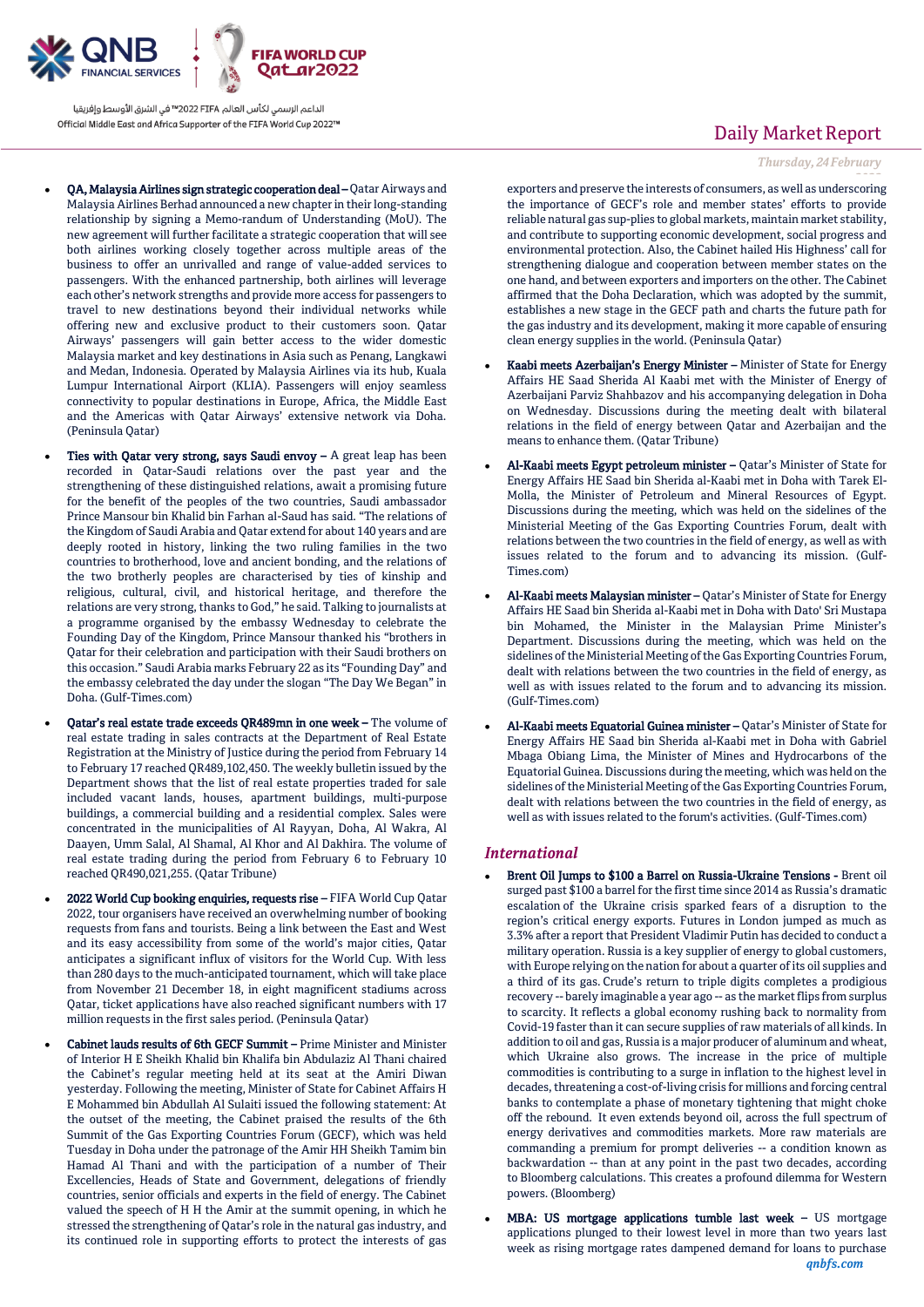

- QA, Malaysia Airlines sign strategic cooperation deal Qatar Airways and Malaysia Airlines Berhad announced a new chapter in their long-standing relationship by signing a Memo-randum of Understanding (MoU). The new agreement will further facilitate a strategic cooperation that will see both airlines working closely together across multiple areas of the business to offer an unrivalled and range of value-added services to passengers. With the enhanced partnership, both airlines will leverage each other's network strengths and provide more access for passengers to travel to new destinations beyond their individual networks while offering new and exclusive product to their customers soon. Qatar Airways' passengers will gain better access to the wider domestic Malaysia market and key destinations in Asia such as Penang, Langkawi and Medan, Indonesia. Operated by Malaysia Airlines via its hub, Kuala Lumpur International Airport (KLIA). Passengers will enjoy seamless connectivity to popular destinations in Europe, Africa, the Middle East and the Americas with Qatar Airways' extensive network via Doha. (Peninsula Qatar)
- Ties with Qatar very strong, says Saudi envoy  $A$  great leap has been recorded in Qatar-Saudi relations over the past year and the strengthening of these distinguished relations, await a promising future for the benefit of the peoples of the two countries, Saudi ambassador Prince Mansour bin Khalid bin Farhan al-Saud has said. "The relations of the Kingdom of Saudi Arabia and Qatar extend for about 140 years and are deeply rooted in history, linking the two ruling families in the two countries to brotherhood, love and ancient bonding, and the relations of the two brotherly peoples are characterised by ties of kinship and religious, cultural, civil, and historical heritage, and therefore the relations are very strong, thanks to God," he said. Talking to journalists at a programme organised by the embassy Wednesday to celebrate the Founding Day of the Kingdom, Prince Mansour thanked his "brothers in Qatar for their celebration and participation with their Saudi brothers on this occasion." Saudi Arabia marks February 22 as its "Founding Day" and the embassy celebrated the day under the slogan "The Day We Began" in Doha. (Gulf-Times.com)
- Qatar's real estate trade exceeds QR489mn in one week The volume of real estate trading in sales contracts at the Department of Real Estate Registration at the Ministry of Justice during the period from February 14 to February 17 reached QR489,102,450. The weekly bulletin issued by the Department shows that the list of real estate properties traded for sale included vacant lands, houses, apartment buildings, multi-purpose buildings, a commercial building and a residential complex. Sales were concentrated in the municipalities of Al Rayyan, Doha, Al Wakra, Al Daayen, Umm Salal, Al Shamal, Al Khor and Al Dakhira. The volume of real estate trading during the period from February 6 to February 10 reached QR490,021,255. (Qatar Tribune)
- 2022 World Cup booking enquiries, requests rise FIFA World Cup Qatar 2022, tour organisers have received an overwhelming number of booking requests from fans and tourists. Being a link between the East and West and its easy accessibility from some of the world's major cities, Qatar anticipates a significant influx of visitors for the World Cup. With less than 280 days to the much-anticipated tournament, which will take place from November 21 December 18, in eight magnificent stadiums across Qatar, ticket applications have also reached significant numbers with 17 million requests in the first sales period. (Peninsula Qatar)
- Cabinet lauds results of 6th GECF Summit Prime Minister and Minister of Interior H E Sheikh Khalid bin Khalifa bin Abdulaziz Al Thani chaired the Cabinet's regular meeting held at its seat at the Amiri Diwan yesterday. Following the meeting, Minister of State for Cabinet Affairs H E Mohammed bin Abdullah Al Sulaiti issued the following statement: At the outset of the meeting, the Cabinet praised the results of the 6th Summit of the Gas Exporting Countries Forum (GECF), which was held Tuesday in Doha under the patronage of the Amir HH Sheikh Tamim bin Hamad Al Thani and with the participation of a number of Their Excellencies, Heads of State and Government, delegations of friendly countries, senior officials and experts in the field of energy. The Cabinet valued the speech of H H the Amir at the summit opening, in which he stressed the strengthening of Qatar's role in the natural gas industry, and its continued role in supporting efforts to protect the interests of gas

## Daily Market Report

### *Thursday, 24February*

*2022* exporters and preserve the interests of consumers, as well as underscoring the importance of GECF's role and member states' efforts to provide reliable natural gas sup-plies to global markets, maintain market stability, and contribute to supporting economic development, social progress and environmental protection. Also, the Cabinet hailed His Highness' call for strengthening dialogue and cooperation between member states on the one hand, and between exporters and importers on the other. The Cabinet affirmed that the Doha Declaration, which was adopted by the summit, establishes a new stage in the GECF path and charts the future path for the gas industry and its development, making it more capable of ensuring clean energy supplies in the world. (Peninsula Qatar)

- Kaabi meets Azerbaijan's Energy Minister Minister of State for Energy Affairs HE Saad Sherida Al Kaabi met with the Minister of Energy of Azerbaijani Parviz Shahbazov and his accompanying delegation in Doha on Wednesday. Discussions during the meeting dealt with bilateral relations in the field of energy between Qatar and Azerbaijan and the means to enhance them. (Qatar Tribune)
- Al-Kaabi meets Egypt petroleum minister Qatar's Minister of State for Energy Affairs HE Saad bin Sherida al-Kaabi met in Doha with Tarek El-Molla, the Minister of Petroleum and Mineral Resources of Egypt. Discussions during the meeting, which was held on the sidelines of the Ministerial Meeting of the Gas Exporting Countries Forum, dealt with relations between the two countries in the field of energy, as well as with issues related to the forum and to advancing its mission. (Gulf-Times.com)
- Al-Kaabi meets Malaysian minister Qatar's Minister of State for Energy Affairs HE Saad bin Sherida al-Kaabi met in Doha with Dato' Sri Mustapa bin Mohamed, the Minister in the Malaysian Prime Minister's Department. Discussions during the meeting, which was held on the sidelines of the Ministerial Meeting of the Gas Exporting Countries Forum, dealt with relations between the two countries in the field of energy, as well as with issues related to the forum and to advancing its mission. (Gulf-Times.com)
- Al-Kaabi meets Equatorial Guinea minister Qatar's Minister of State for Energy Affairs HE Saad bin Sherida al-Kaabi met in Doha with Gabriel Mbaga Obiang Lima, the Minister of Mines and Hydrocarbons of the Equatorial Guinea. Discussions during the meeting, which was held on the sidelines of the Ministerial Meeting of the Gas Exporting Countries Forum, dealt with relations between the two countries in the field of energy, as well as with issues related to the forum's activities. (Gulf-Times.com)

### *International*

- Brent Oil Jumps to \$100 a Barrel on Russia-Ukraine Tensions Brent oil surged past \$100 a barrel for the first time since 2014 as Russia's dramatic escalation of the Ukraine crisis sparked fears of a disruption to the region's critical energy exports. Futures in London jumped as much as 3.3% after a report that President Vladimir Putin has decided to conduct a military operation. Russia is a key supplier of energy to global customers, with Europe relying on the nation for about a quarter of its oil supplies and a third of its gas. Crude's return to triple digits completes a prodigious recovery -- barely imaginable a year ago -- as the market flips from surplus to scarcity. It reflects a global economy rushing back to normality from Covid-19 faster than it can secure supplies of raw materials of all kinds. In addition to oil and gas, Russia is a major producer of aluminum and wheat, which Ukraine also grows. The increase in the price of multiple commodities is contributing to a surge in inflation to the highest level in decades, threatening a cost-of-living crisis for millions and forcing central banks to contemplate a phase of monetary tightening that might choke off the rebound. It even extends beyond oil, across the full spectrum of energy derivatives and commodities markets. More raw materials are commanding a premium for prompt deliveries -- a condition known as backwardation -- than at any point in the past two decades, according to Bloomberg calculations. This creates a profound dilemma for Western powers. (Bloomberg)
- *qnbfs.com* MBA: US mortgage applications tumble last week – US mortgage applications plunged to their lowest level in more than two years last week as rising mortgage rates dampened demand for loans to purchase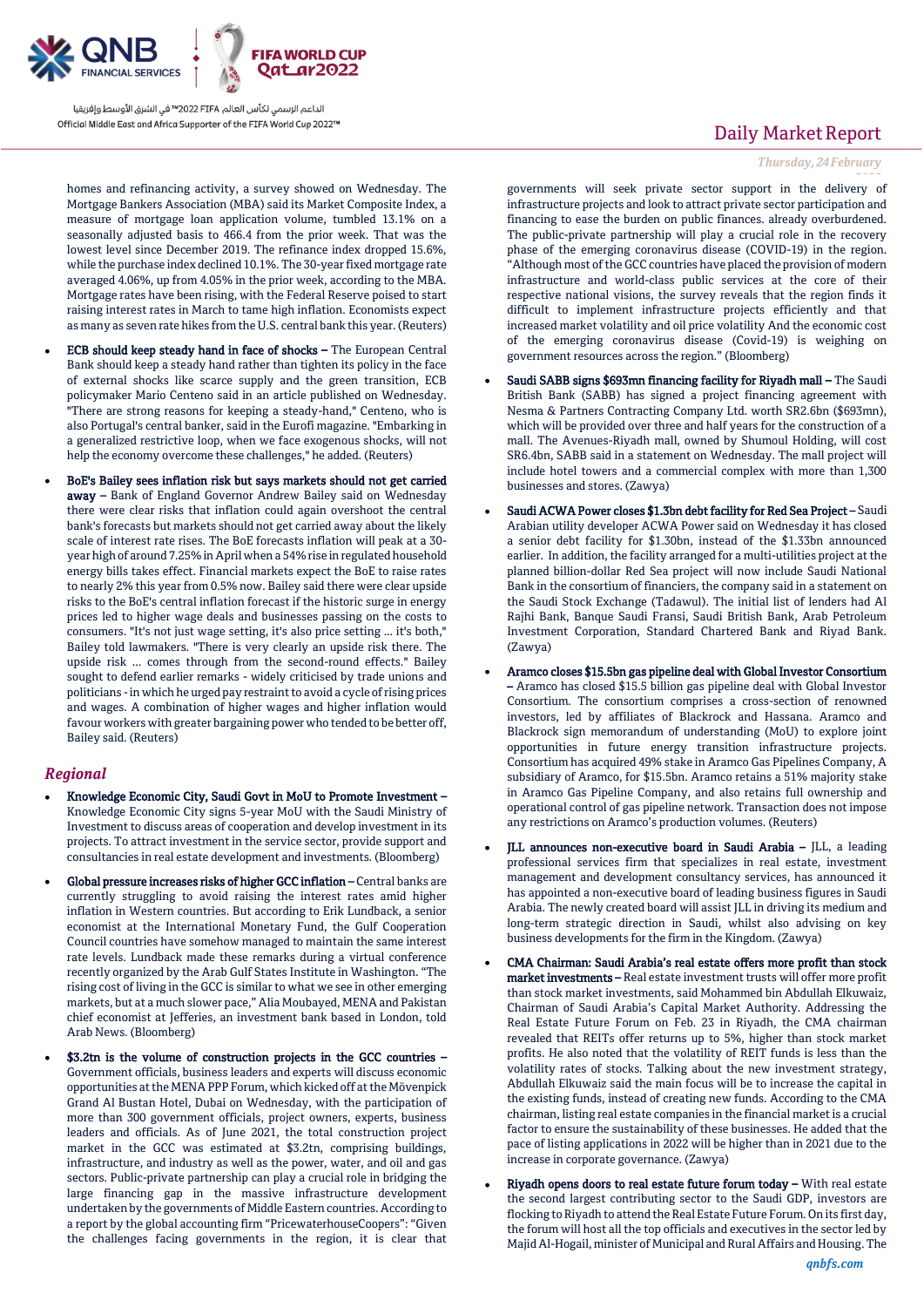

homes and refinancing activity, a survey showed on Wednesday. The Mortgage Bankers Association (MBA) said its Market Composite Index, a measure of mortgage loan application volume, tumbled 13.1% on a seasonally adjusted basis to 466.4 from the prior week. That was the lowest level since December 2019. The refinance index dropped 15.6%, while the purchase index declined 10.1%. The 30-year fixed mortgage rate averaged 4.06%, up from 4.05% in the prior week, according to the MBA. Mortgage rates have been rising, with the Federal Reserve poised to start raising interest rates in March to tame high inflation. Economists expect as many as seven rate hikes from the U.S. central bank this year. (Reuters)

- ECB should keep steady hand in face of shocks The European Central Bank should keep a steady hand rather than tighten its policy in the face of external shocks like scarce supply and the green transition, ECB policymaker Mario Centeno said in an article published on Wednesday. "There are strong reasons for keeping a steady-hand," Centeno, who is also Portugal's central banker, said in the Eurofi magazine. "Embarking in a generalized restrictive loop, when we face exogenous shocks, will not help the economy overcome these challenges," he added. (Reuters)
- BoE's Bailey sees inflation risk but says markets should not get carried away – Bank of England Governor Andrew Bailey said on Wednesday there were clear risks that inflation could again overshoot the central bank's forecasts but markets should not get carried away about the likely scale of interest rate rises. The BoE forecasts inflation will peak at a 30 year high of around 7.25% in April when a 54% rise in regulated household energy bills takes effect. Financial markets expect the BoE to raise rates to nearly 2% this year from 0.5% now. Bailey said there were clear upside risks to the BoE's central inflation forecast if the historic surge in energy prices led to higher wage deals and businesses passing on the costs to consumers. "It's not just wage setting, it's also price setting ... it's both," Bailey told lawmakers. "There is very clearly an upside risk there. The upside risk ... comes through from the second-round effects." Bailey sought to defend earlier remarks - widely criticised by trade unions and politicians -in which he urged pay restraint to avoid a cycle of rising prices and wages. A combination of higher wages and higher inflation would favour workers with greater bargaining power who tended to be better off, Bailey said. (Reuters)

### *Regional*

- Knowledge Economic City, Saudi Govt in MoU to Promote Investment Knowledge Economic City signs 5-year MoU with the Saudi Ministry of Investment to discuss areas of cooperation and develop investment in its projects. To attract investment in the service sector, provide support and consultancies in real estate development and investments. (Bloomberg)
- Global pressure increases risks of higher GCC inflation Central banks are currently struggling to avoid raising the interest rates amid higher inflation in Western countries. But according to Erik Lundback, a senior economist at the International Monetary Fund, the Gulf Cooperation Council countries have somehow managed to maintain the same interest rate levels. Lundback made these remarks during a virtual conference recently organized by the Arab Gulf States Institute in Washington. "The rising cost of living in the GCC is similar to what we see in other emerging markets, but at a much slower pace," Alia Moubayed, MENA and Pakistan chief economist at Jefferies, an investment bank based in London, told Arab News. (Bloomberg)
- \$3.2tn is the volume of construction projects in the GCC countries Government officials, business leaders and experts will discuss economic opportunities at the MENA PPP Forum, which kicked off at the Mövenpick Grand Al Bustan Hotel, Dubai on Wednesday, with the participation of more than 300 government officials, project owners, experts, business leaders and officials. As of June 2021, the total construction project market in the GCC was estimated at \$3.2tn, comprising buildings, infrastructure, and industry as well as the power, water, and oil and gas sectors. Public-private partnership can play a crucial role in bridging the large financing gap in the massive infrastructure development undertaken by the governments of Middle Eastern countries. According to a report by the global accounting firm "PricewaterhouseCoopers": "Given the challenges facing governments in the region, it is clear that

# Daily Market Report

*Thursday, 24February*

*2022* governments will seek private sector support in the delivery of infrastructure projects and look to attract private sector participation and financing to ease the burden on public finances. already overburdened. The public-private partnership will play a crucial role in the recovery phase of the emerging coronavirus disease (COVID-19) in the region. "Although most of the GCC countries have placed the provision of modern infrastructure and world-class public services at the core of their respective national visions, the survey reveals that the region finds it difficult to implement infrastructure projects efficiently and that increased market volatility and oil price volatility And the economic cost of the emerging coronavirus disease (Covid-19) is weighing on government resources across the region." (Bloomberg)

- Saudi SABB signs \$693mn financing facility for Riyadh mall The Saudi British Bank (SABB) has signed a project financing agreement with Nesma & Partners Contracting Company Ltd. worth SR2.6bn (\$693mn), which will be provided over three and half years for the construction of a mall. The Avenues-Riyadh mall, owned by Shumoul Holding, will cost SR6.4bn, SABB said in a statement on Wednesday. The mall project will include hotel towers and a commercial complex with more than 1,300 businesses and stores. (Zawya)
- Saudi ACWA Power closes \$1.3bn debt facility for Red Sea Project Saudi Arabian utility developer ACWA Power said on Wednesday it has closed a senior debt facility for \$1.30bn, instead of the \$1.33bn announced earlier. In addition, the facility arranged for a multi-utilities project at the planned billion-dollar Red Sea project will now include Saudi National Bank in the consortium of financiers, the company said in a statement on the Saudi Stock Exchange (Tadawul). The initial list of lenders had Al Rajhi Bank, Banque Saudi Fransi, Saudi British Bank, Arab Petroleum Investment Corporation, Standard Chartered Bank and Riyad Bank. (Zawya)
- Aramco closes \$15.5bn gas pipeline deal with Global Investor Consortium – Aramco has closed \$15.5 billion gas pipeline deal with Global Investor Consortium. The consortium comprises a cross-section of renowned investors, led by affiliates of Blackrock and Hassana. Aramco and Blackrock sign memorandum of understanding (MoU) to explore joint opportunities in future energy transition infrastructure projects. Consortium has acquired 49% stake in Aramco Gas Pipelines Company, A subsidiary of Aramco, for \$15.5bn. Aramco retains a 51% majority stake in Aramco Gas Pipeline Company, and also retains full ownership and operational control of gas pipeline network. Transaction does not impose any restrictions on Aramco's production volumes. (Reuters)
- JLL announces non-executive board in Saudi Arabia JLL, a leading professional services firm that specializes in real estate, investment management and development consultancy services, has announced it has appointed a non-executive board of leading business figures in Saudi Arabia. The newly created board will assist JLL in driving its medium and long-term strategic direction in Saudi, whilst also advising on key business developments for the firm in the Kingdom. (Zawya)
- CMA Chairman: Saudi Arabia's real estate offers more profit than stock market investments – Real estate investment trusts will offer more profit than stock market investments, said Mohammed bin Abdullah Elkuwaiz, Chairman of Saudi Arabia's Capital Market Authority. Addressing the Real Estate Future Forum on Feb. 23 in Riyadh, the CMA chairman revealed that REITs offer returns up to 5%, higher than stock market profits. He also noted that the volatility of REIT funds is less than the volatility rates of stocks. Talking about the new investment strategy, Abdullah Elkuwaiz said the main focus will be to increase the capital in the existing funds, instead of creating new funds. According to the CMA chairman, listing real estate companies in the financial market is a crucial factor to ensure the sustainability of these businesses. He added that the pace of listing applications in 2022 will be higher than in 2021 due to the increase in corporate governance. (Zawya)
- Riyadh opens doors to real estate future forum today With real estate the second largest contributing sector to the Saudi GDP, investors are flocking to Riyadh to attend the Real Estate Future Forum. On its first day, the forum will host all the top officials and executives in the sector led by Majid Al-Hogail, minister of Municipal and Rural Affairs and Housing. The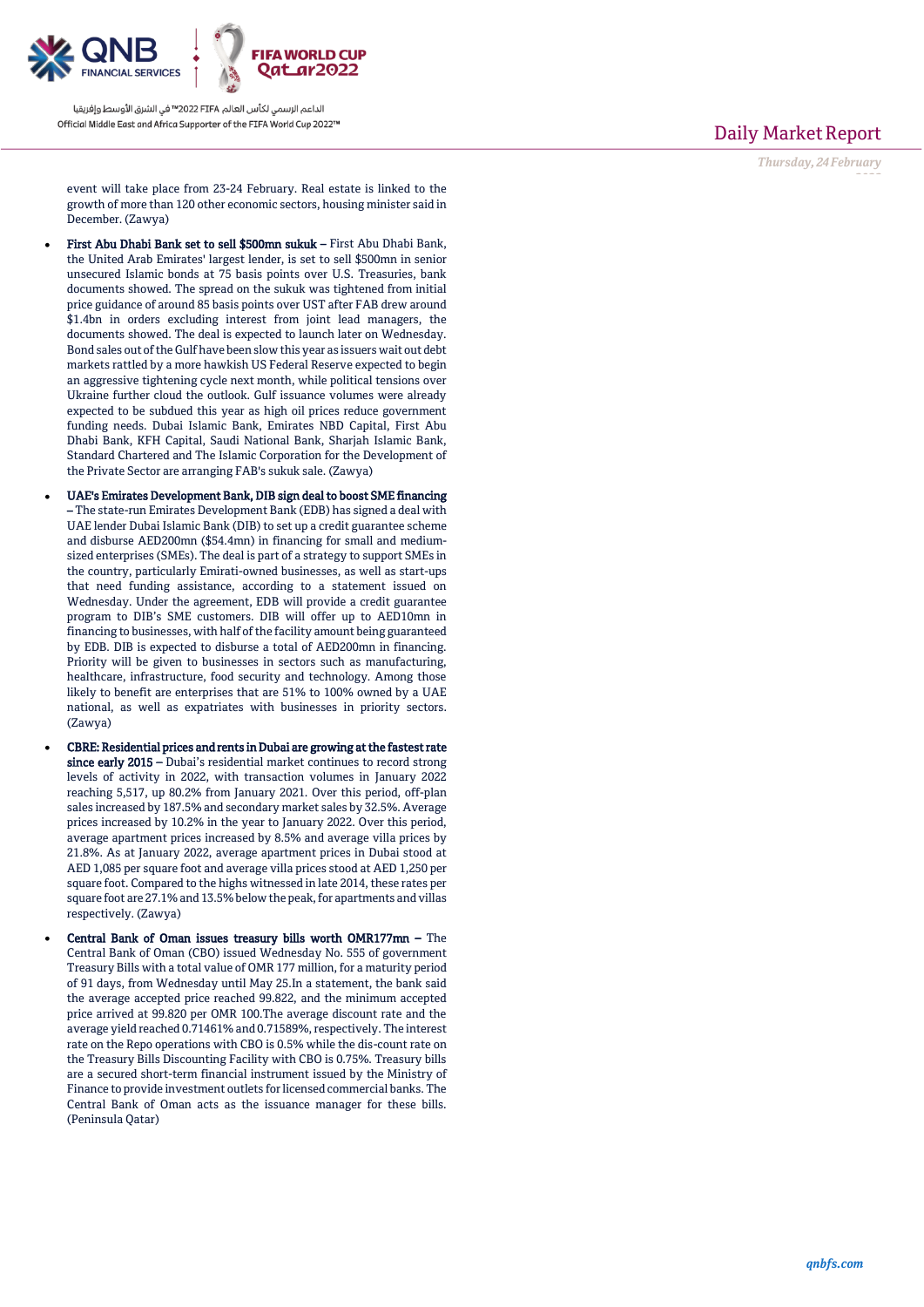

Daily Market Report

*Thursday, 24February*

*2022*

event will take place from 23-24 February. Real estate is linked to the growth of more than 120 other economic sectors, housing minister said in December. (Zawya)

- First Abu Dhabi Bank set to sell \$500mn sukuk First Abu Dhabi Bank, the United Arab Emirates' largest lender, is set to sell \$500mn in senior unsecured Islamic bonds at 75 basis points over U.S. Treasuries, bank documents showed. The spread on the sukuk was tightened from initial price guidance of around 85 basis points over UST after FAB drew around \$1.4bn in orders excluding interest from joint lead managers, the documents showed. The deal is expected to launch later on Wednesday. Bond sales out of the Gulf have been slow this year as issuers wait out debt markets rattled by a more hawkish US Federal Reserve expected to begin an aggressive tightening cycle next month, while political tensions over Ukraine further cloud the outlook. Gulf issuance volumes were already expected to be subdued this year as high oil prices reduce government funding needs. Dubai Islamic Bank, Emirates NBD Capital, First Abu Dhabi Bank, KFH Capital, Saudi National Bank, Sharjah Islamic Bank, Standard Chartered and The Islamic Corporation for the Development of the Private Sector are arranging FAB's sukuk sale. (Zawya)
- UAE's Emirates Development Bank, DIB sign deal to boost SME financing – The state-run Emirates Development Bank (EDB) has signed a deal with UAE lender Dubai Islamic Bank (DIB) to set up a credit guarantee scheme and disburse AED200mn (\$54.4mn) in financing for small and mediumsized enterprises (SMEs). The deal is part of a strategy to support SMEs in the country, particularly Emirati-owned businesses, as well as start-ups that need funding assistance, according to a statement issued on Wednesday. Under the agreement, EDB will provide a credit guarantee program to DIB's SME customers. DIB will offer up to AED10mn in financing to businesses, with half of the facility amount being guaranteed by EDB. DIB is expected to disburse a total of AED200mn in financing. Priority will be given to businesses in sectors such as manufacturing, healthcare, infrastructure, food security and technology. Among those likely to benefit are enterprises that are 51% to 100% owned by a UAE national, as well as expatriates with businesses in priority sectors. (Zawya)
- CBRE: Residential prices and rents in Dubai are growing at the fastest rate since early 2015 – Dubai's residential market continues to record strong levels of activity in 2022, with transaction volumes in January 2022 reaching 5,517, up 80.2% from January 2021. Over this period, off-plan sales increased by 187.5% and secondary market sales by 32.5%. Average prices increased by 10.2% in the year to January 2022. Over this period, average apartment prices increased by 8.5% and average villa prices by 21.8%. As at January 2022, average apartment prices in Dubai stood at AED 1,085 per square foot and average villa prices stood at AED 1,250 per square foot. Compared to the highs witnessed in late 2014, these rates per square foot are 27.1% and 13.5% below the peak, for apartments and villas respectively. (Zawya)
- Central Bank of Oman issues treasury bills worth OMR177mn The Central Bank of Oman (CBO) issued Wednesday No. 555 of government Treasury Bills with a total value of OMR 177 million, for a maturity period of 91 days, from Wednesday until May 25.In a statement, the bank said the average accepted price reached 99.822, and the minimum accepted price arrived at 99.820 per OMR 100.The average discount rate and the average yield reached 0.71461% and 0.71589%, respectively. The interest rate on the Repo operations with CBO is 0.5% while the dis-count rate on the Treasury Bills Discounting Facility with CBO is 0.75%. Treasury bills are a secured short-term financial instrument issued by the Ministry of Finance to provide investment outlets for licensed commercial banks. The Central Bank of Oman acts as the issuance manager for these bills. (Peninsula Qatar)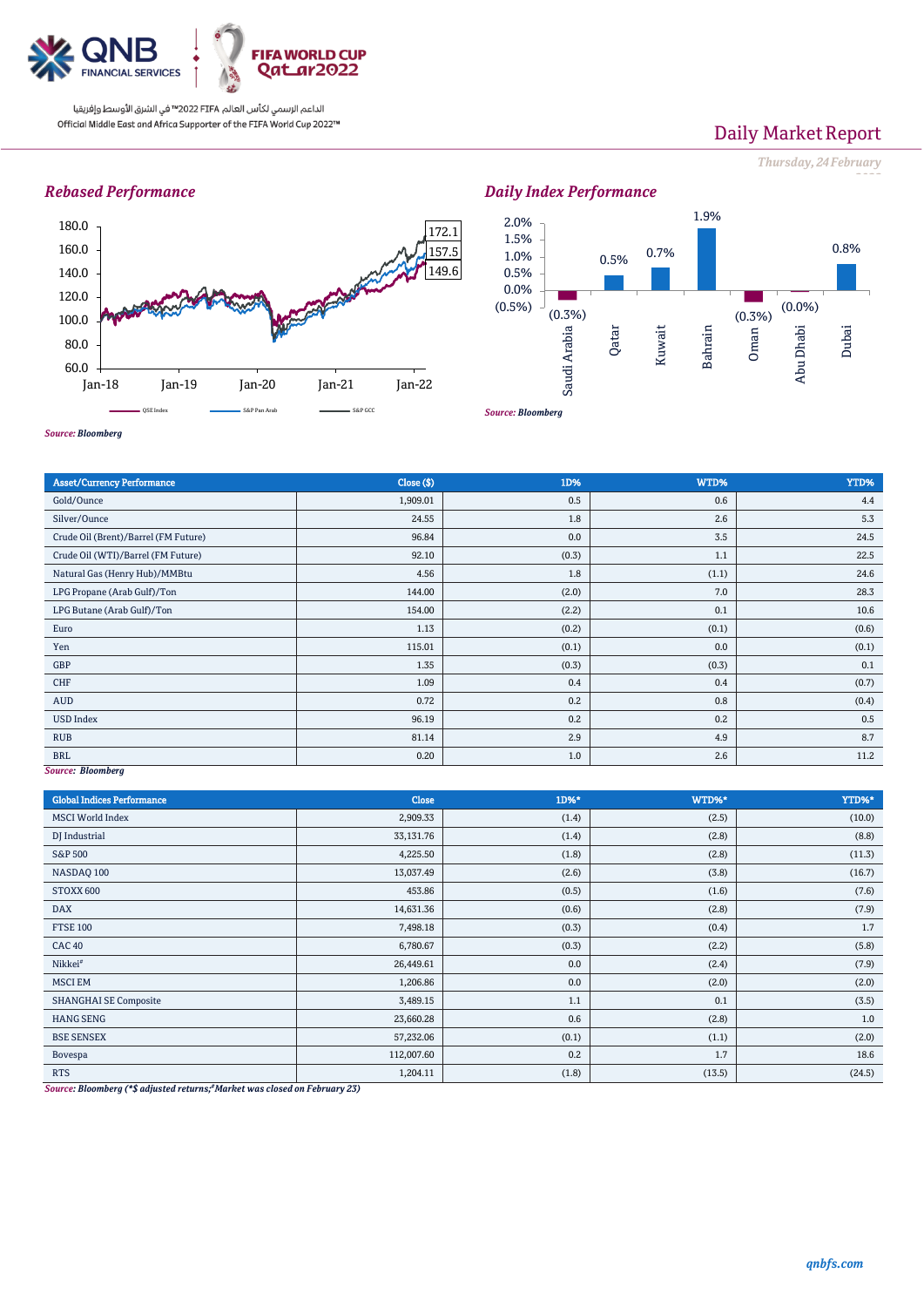

# Daily Market Report

*Thursday, 24February*

*2022*

## *Rebased Performance*





*Source: Bloomberg*

| <b>Asset/Currency Performance</b>    | Close (\$) | 1D%   | WTD%  | YTD%  |  |  |
|--------------------------------------|------------|-------|-------|-------|--|--|
| Gold/Ounce                           | 1,909.01   | 0.5   | 0.6   | 4.4   |  |  |
| Silver/Ounce                         | 24.55      | 1.8   | 2.6   | 5.3   |  |  |
| Crude Oil (Brent)/Barrel (FM Future) | 96.84      | 0.0   | 3.5   | 24.5  |  |  |
| Crude Oil (WTI)/Barrel (FM Future)   | 92.10      | (0.3) | 1.1   | 22.5  |  |  |
| Natural Gas (Henry Hub)/MMBtu        | 4.56       | 1.8   | (1.1) | 24.6  |  |  |
| LPG Propane (Arab Gulf)/Ton          | 144.00     | (2.0) | 7.0   | 28.3  |  |  |
| LPG Butane (Arab Gulf)/Ton           | 154.00     | (2.2) | 0.1   | 10.6  |  |  |
| Euro                                 | 1.13       | (0.2) | (0.1) | (0.6) |  |  |
| Yen                                  | 115.01     | (0.1) | 0.0   | (0.1) |  |  |
| GBP                                  | 1.35       | (0.3) | (0.3) | 0.1   |  |  |
| CHF                                  | 1.09       | 0.4   | 0.4   | (0.7) |  |  |
| AUD                                  | 0.72       | 0.2   | 0.8   | (0.4) |  |  |
| <b>USD Index</b>                     | 96.19      | 0.2   | 0.2   | 0.5   |  |  |
| <b>RUB</b>                           | 81.14      | 2.9   | 4.9   | 8.7   |  |  |
| <b>BRL</b>                           | 0.20       | 1.0   | 2.6   | 11.2  |  |  |
| Source: Bloomberg                    |            |       |       |       |  |  |

*Source: Bloomberg*

| <b>Global Indices Performance</b>                                                 | Close             | 1D%*  | WTD%*  | YTD%*  |
|-----------------------------------------------------------------------------------|-------------------|-------|--------|--------|
| <b>MSCI World Index</b>                                                           | 2,909.33          | (1.4) | (2.5)  | (10.0) |
| DJ Industrial                                                                     | 33,131.76         | (1.4) | (2.8)  | (8.8)  |
| <b>S&amp;P 500</b>                                                                | 4,225.50          | (1.8) | (2.8)  | (11.3) |
| NASDAQ 100                                                                        | 13,037.49         | (2.6) | (3.8)  | (16.7) |
| STOXX 600                                                                         | 453.86            | (0.5) | (1.6)  | (7.6)  |
| <b>DAX</b>                                                                        | 14,631.36         | (0.6) | (2.8)  | (7.9)  |
| <b>FTSE 100</b>                                                                   | 7,498.18          | (0.3) | (0.4)  | 1.7    |
| <b>CAC 40</b>                                                                     | 6,780.67          | (0.3) | (2.2)  | (5.8)  |
| Nikkei <sup>#</sup>                                                               | 26,449.61         | 0.0   | (2.4)  | (7.9)  |
| <b>MSCI EM</b>                                                                    | 1,206.86          | 0.0   | (2.0)  | (2.0)  |
| <b>SHANGHAI SE Composite</b>                                                      | 3,489.15          | 1.1   | 0.1    | (3.5)  |
| <b>HANG SENG</b>                                                                  | 23,660.28         | 0.6   | (2.8)  | 1.0    |
| <b>BSE SENSEX</b>                                                                 | 57,232.06         | (0.1) | (1.1)  | (2.0)  |
| Bovespa                                                                           | 112,007.60        | 0.2   | 1.7    | 18.6   |
| <b>RTS</b><br>$\mathbf{r}$ , and the set of $\mathbf{r}$<br>$-222$<br>.<br>$\sim$ | 1,204.11<br>$- -$ | (1.8) | (13.5) | (24.5) |

*Source: Bloomberg (\*\$ adjusted returns; #Market was closed on February 23)*